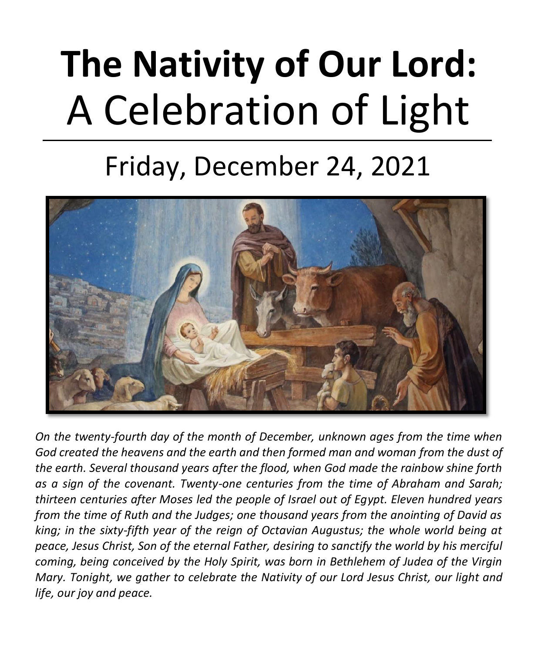# **The Nativity of Our Lord:** A Celebration of Light

# Friday, December 24, 2021



*On the twenty-fourth day of the month of December, unknown ages from the time when God created the heavens and the earth and then formed man and woman from the dust of the earth. Several thousand years after the flood, when God made the rainbow shine forth as a sign of the covenant. Twenty-one centuries from the time of Abraham and Sarah; thirteen centuries after Moses led the people of Israel out of Egypt. Eleven hundred years from the time of Ruth and the Judges; one thousand years from the anointing of David as king; in the sixty-fifth year of the reign of Octavian Augustus; the whole world being at peace, Jesus Christ, Son of the eternal Father, desiring to sanctify the world by his merciful coming, being conceived by the Holy Spirit, was born in Bethlehem of Judea of the Virgin Mary. Tonight, we gather to celebrate the Nativity of our Lord Jesus Christ, our light and life, our joy and peace.*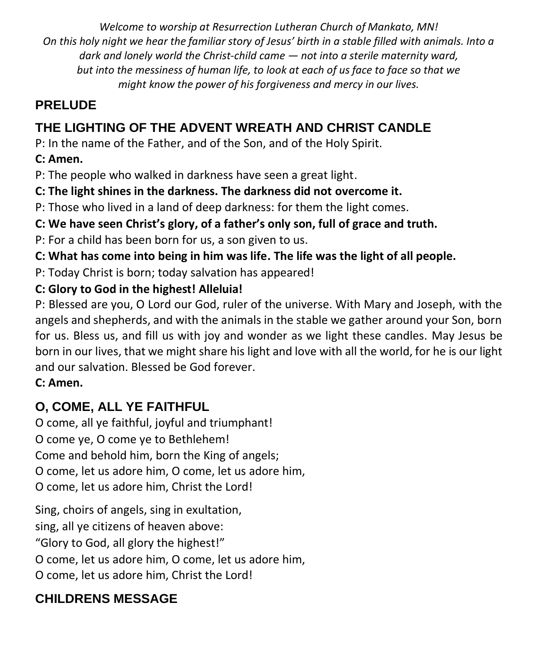*Welcome to worship at Resurrection Lutheran Church of Mankato, MN! On this holy night we hear the familiar story of Jesus' birth in a stable filled with animals. Into a dark and lonely world the Christ-child came — not into a sterile maternity ward, but into the messiness of human life, to look at each of us face to face so that we might know the power of his forgiveness and mercy in our lives.*

# **PRELUDE**

# **THE LIGHTING OF THE ADVENT WREATH AND CHRIST CANDLE**

P: In the name of the Father, and of the Son, and of the Holy Spirit.

# **C: Amen.**

P: The people who walked in darkness have seen a great light.

#### **C: The light shines in the darkness. The darkness did not overcome it.**

P: Those who lived in a land of deep darkness: for them the light comes.

# **C: We have seen Christ's glory, of a father's only son, full of grace and truth.**

P: For a child has been born for us, a son given to us.

# **C: What has come into being in him was life. The life was the light of all people.**

P: Today Christ is born; today salvation has appeared!

# **C: Glory to God in the highest! Alleluia!**

P: Blessed are you, O Lord our God, ruler of the universe. With Mary and Joseph, with the angels and shepherds, and with the animals in the stable we gather around your Son, born for us. Bless us, and fill us with joy and wonder as we light these candles. May Jesus be born in our lives, that we might share his light and love with all the world, for he is our light and our salvation. Blessed be God forever.

#### **C: Amen.**

# **O, COME, ALL YE FAITHFUL**

O come, all ye faithful, joyful and triumphant! O come ye, O come ye to Bethlehem! Come and behold him, born the King of angels; O come, let us adore him, O come, let us adore him, O come, let us adore him, Christ the Lord!

Sing, choirs of angels, sing in exultation, sing, all ye citizens of heaven above: "Glory to God, all glory the highest!" O come, let us adore him, O come, let us adore him, O come, let us adore him, Christ the Lord!

# **CHILDRENS MESSAGE**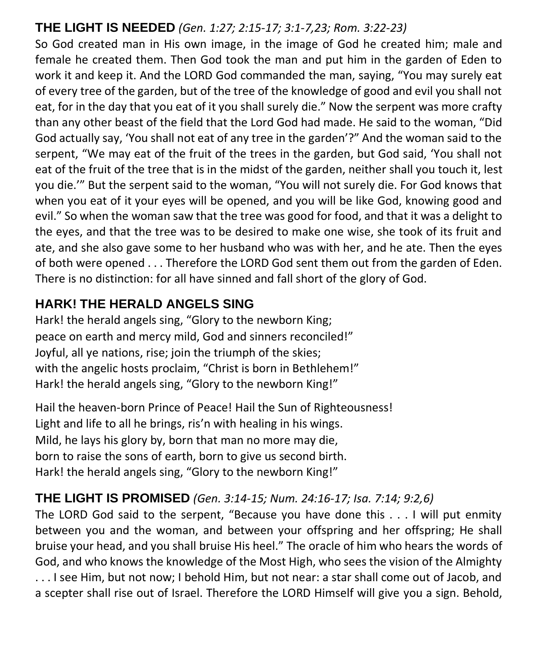#### **THE LIGHT IS NEEDED** *(Gen. 1:27; 2:15-17; 3:1-7,23; Rom. 3:22-23)*

So God created man in His own image, in the image of God he created him; male and female he created them. Then God took the man and put him in the garden of Eden to work it and keep it. And the LORD God commanded the man, saying, "You may surely eat of every tree of the garden, but of the tree of the knowledge of good and evil you shall not eat, for in the day that you eat of it you shall surely die." Now the serpent was more crafty than any other beast of the field that the Lord God had made. He said to the woman, "Did God actually say, 'You shall not eat of any tree in the garden'?" And the woman said to the serpent, "We may eat of the fruit of the trees in the garden, but God said, 'You shall not eat of the fruit of the tree that is in the midst of the garden, neither shall you touch it, lest you die.'" But the serpent said to the woman, "You will not surely die. For God knows that when you eat of it your eyes will be opened, and you will be like God, knowing good and evil." So when the woman saw that the tree was good for food, and that it was a delight to the eyes, and that the tree was to be desired to make one wise, she took of its fruit and ate, and she also gave some to her husband who was with her, and he ate. Then the eyes of both were opened . . . Therefore the LORD God sent them out from the garden of Eden. There is no distinction: for all have sinned and fall short of the glory of God.

#### **HARK! THE HERALD ANGELS SING**

Hark! the herald angels sing, "Glory to the newborn King; peace on earth and mercy mild, God and sinners reconciled!" Joyful, all ye nations, rise; join the triumph of the skies; with the angelic hosts proclaim, "Christ is born in Bethlehem!" Hark! the herald angels sing, "Glory to the newborn King!"

Hail the heaven-born Prince of Peace! Hail the Sun of Righteousness! Light and life to all he brings, ris'n with healing in his wings. Mild, he lays his glory by, born that man no more may die, born to raise the sons of earth, born to give us second birth. Hark! the herald angels sing, "Glory to the newborn King!"

#### **THE LIGHT IS PROMISED** *(Gen. 3:14-15; Num. 24:16-17; Isa. 7:14; 9:2,6)*

The LORD God said to the serpent, "Because you have done this . . . I will put enmity between you and the woman, and between your offspring and her offspring; He shall bruise your head, and you shall bruise His heel." The oracle of him who hears the words of God, and who knows the knowledge of the Most High, who sees the vision of the Almighty . . . I see Him, but not now; I behold Him, but not near: a star shall come out of Jacob, and a scepter shall rise out of Israel. Therefore the LORD Himself will give you a sign. Behold,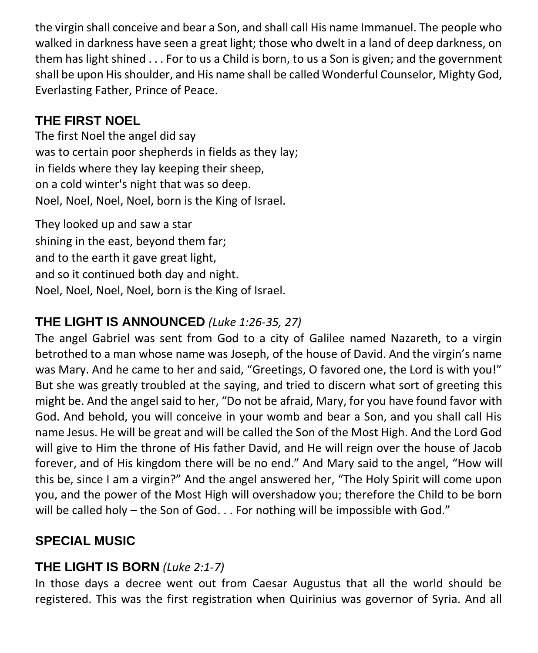the virgin shall conceive and bear a Son, and shall call His name Immanuel. The people who walked in darkness have seen a great light; those who dwelt in a land of deep darkness, on them has light shined . . . For to us a Child is born, to us a Son is given; and the government shall be upon His shoulder, and His name shall be called Wonderful Counselor, Mighty God, Everlasting Father, Prince of Peace.

## **THE FIRST NOEL**

The first Noel the angel did say was to certain poor shepherds in fields as they lay; in fields where they lay keeping their sheep, on a cold winter's night that was so deep. Noel, Noel, Noel, Noel, born is the King of Israel.

They looked up and saw a star shining in the east, beyond them far; and to the earth it gave great light, and so it continued both day and night. Noel, Noel, Noel, Noel, born is the King of Israel.

# **THE LIGHT IS ANNOUNCED** *(Luke 1:26-35, 27)*

The angel Gabriel was sent from God to a city of Galilee named Nazareth, to a virgin betrothed to a man whose name was Joseph, of the house of David. And the virgin's name was Mary. And he came to her and said, "Greetings, O favored one, the Lord is with you!" But she was greatly troubled at the saying, and tried to discern what sort of greeting this might be. And the angel said to her, "Do not be afraid, Mary, for you have found favor with God. And behold, you will conceive in your womb and bear a Son, and you shall call His name Jesus. He will be great and will be called the Son of the Most High. And the Lord God will give to Him the throne of His father David, and He will reign over the house of Jacob forever, and of His kingdom there will be no end." And Mary said to the angel, "How will this be, since I am a virgin?" And the angel answered her, "The Holy Spirit will come upon you, and the power of the Most High will overshadow you; therefore the Child to be born will be called holy – the Son of God. . . For nothing will be impossible with God."

# **SPECIAL MUSIC**

# **THE LIGHT IS BORN** *(Luke 2:1-7)*

In those days a decree went out from Caesar Augustus that all the world should be registered. This was the first registration when Quirinius was governor of Syria. And all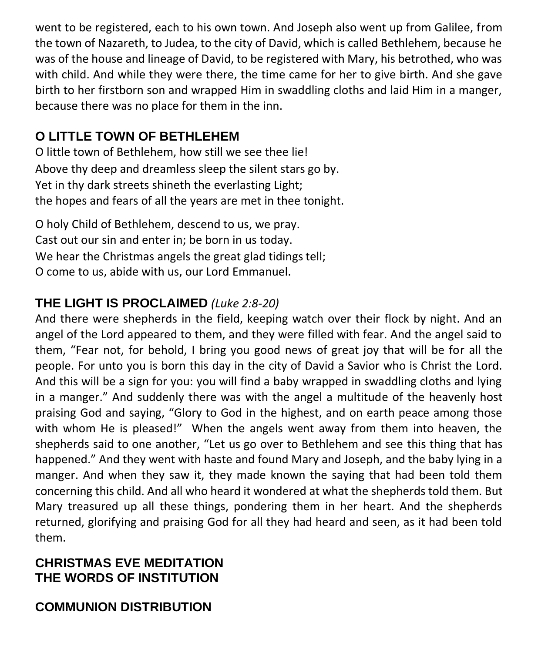went to be registered, each to his own town. And Joseph also went up from Galilee, from the town of Nazareth, to Judea, to the city of David, which is called Bethlehem, because he was of the house and lineage of David, to be registered with Mary, his betrothed, who was with child. And while they were there, the time came for her to give birth. And she gave birth to her firstborn son and wrapped Him in swaddling cloths and laid Him in a manger, because there was no place for them in the inn.

#### **O LITTLE TOWN OF BETHLEHEM**

O little town of Bethlehem, how still we see thee lie! Above thy deep and dreamless sleep the silent stars go by. Yet in thy dark streets shineth the everlasting Light; the hopes and fears of all the years are met in thee tonight.

O holy Child of Bethlehem, descend to us, we pray. Cast out our sin and enter in; be born in us today. We hear the Christmas angels the great glad tidings tell; O come to us, abide with us, our Lord Emmanuel.

# **THE LIGHT IS PROCLAIMED** *(Luke 2:8-20)*

And there were shepherds in the field, keeping watch over their flock by night. And an angel of the Lord appeared to them, and they were filled with fear. And the angel said to them, "Fear not, for behold, I bring you good news of great joy that will be for all the people. For unto you is born this day in the city of David a Savior who is Christ the Lord. And this will be a sign for you: you will find a baby wrapped in swaddling cloths and lying in a manger." And suddenly there was with the angel a multitude of the heavenly host praising God and saying, "Glory to God in the highest, and on earth peace among those with whom He is pleased!" When the angels went away from them into heaven, the shepherds said to one another, "Let us go over to Bethlehem and see this thing that has happened." And they went with haste and found Mary and Joseph, and the baby lying in a manger. And when they saw it, they made known the saying that had been told them concerning this child. And all who heard it wondered at what the shepherds told them. But Mary treasured up all these things, pondering them in her heart. And the shepherds returned, glorifying and praising God for all they had heard and seen, as it had been told them.

#### **CHRISTMAS EVE MEDITATION THE WORDS OF INSTITUTION**

**COMMUNION DISTRIBUTION**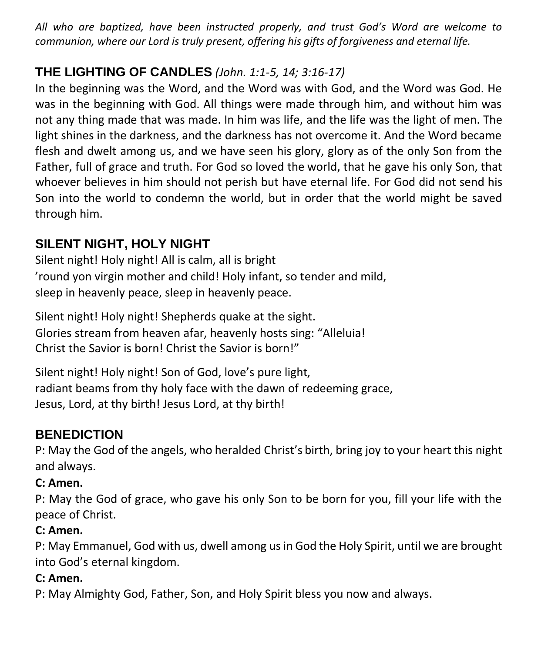*All who are baptized, have been instructed properly, and trust God's Word are welcome to communion, where our Lord is truly present, offering his gifts of forgiveness and eternal life.* 

# **THE LIGHTING OF CANDLES** *(John. 1:1-5, 14; 3:16-17)*

In the beginning was the Word, and the Word was with God, and the Word was God. He was in the beginning with God. All things were made through him, and without him was not any thing made that was made. In him was life, and the life was the light of men. The light shines in the darkness, and the darkness has not overcome it. And the Word became flesh and dwelt among us, and we have seen his glory, glory as of the only Son from the Father, full of grace and truth. For God so loved the world, that he gave his only Son, that whoever believes in him should not perish but have eternal life. For God did not send his Son into the world to condemn the world, but in order that the world might be saved through him.

#### **SILENT NIGHT, HOLY NIGHT**

Silent night! Holy night! All is calm, all is bright 'round yon virgin mother and child! Holy infant, so tender and mild, sleep in heavenly peace, sleep in heavenly peace.

Silent night! Holy night! Shepherds quake at the sight. Glories stream from heaven afar, heavenly hosts sing: "Alleluia! Christ the Savior is born! Christ the Savior is born!"

Silent night! Holy night! Son of God, love's pure light, radiant beams from thy holy face with the dawn of redeeming grace, Jesus, Lord, at thy birth! Jesus Lord, at thy birth!

#### **BENEDICTION**

P: May the God of the angels, who heralded Christ's birth, bring joy to your heart this night and always.

#### **C: Amen.**

P: May the God of grace, who gave his only Son to be born for you, fill your life with the peace of Christ.

#### **C: Amen.**

P: May Emmanuel, God with us, dwell among us in God the Holy Spirit, until we are brought into God's eternal kingdom.

#### **C: Amen.**

P: May Almighty God, Father, Son, and Holy Spirit bless you now and always.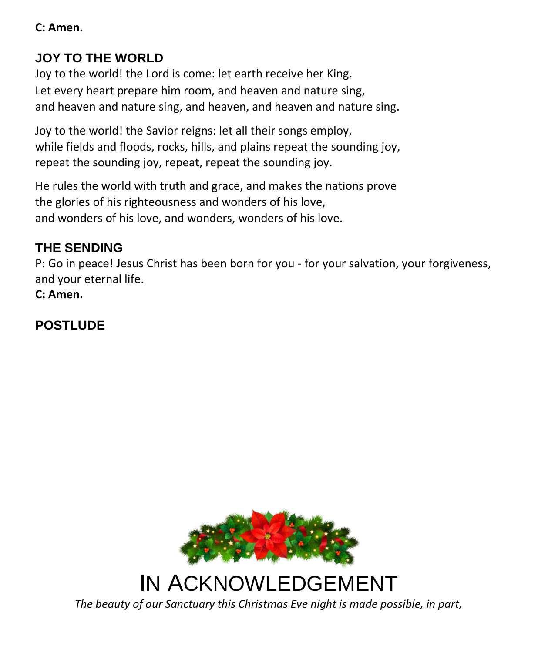#### **C: Amen.**

#### **JOY TO THE WORLD**

Joy to the world! the Lord is come: let earth receive her King. Let every heart prepare him room, and heaven and nature sing, and heaven and nature sing, and heaven, and heaven and nature sing.

Joy to the world! the Savior reigns: let all their songs employ, while fields and floods, rocks, hills, and plains repeat the sounding joy, repeat the sounding joy, repeat, repeat the sounding joy.

He rules the world with truth and grace, and makes the nations prove the glories of his righteousness and wonders of his love, and wonders of his love, and wonders, wonders of his love.

# **THE SENDING**

P: Go in peace! Jesus Christ has been born for you - for your salvation, your forgiveness, and your eternal life.

**C: Amen.**

**POSTLUDE**



# IN ACKNOWLEDGEMENT *The beauty of our Sanctuary this Christmas Eve night is made possible, in part,*